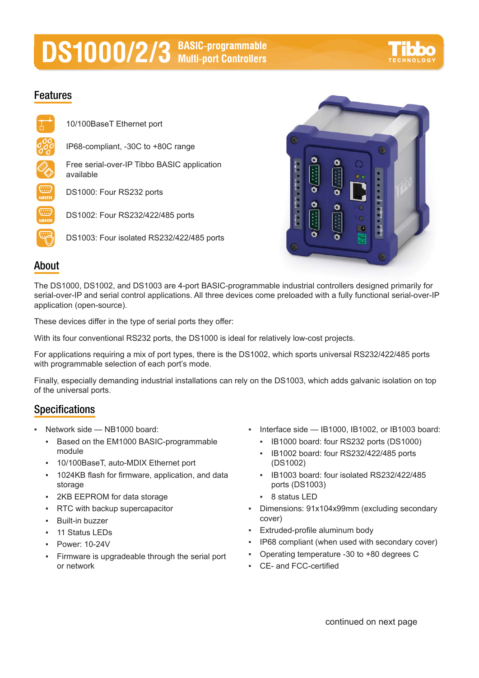# **DS1000/2/3** BASIC-programmable



## **Features**





### **About**

The DS1000, DS1002, and DS1003 are 4-port BASIC-programmable industrial controllers designed primarily for serial-over-IP and serial control applications. All three devices come preloaded with a fully functional serial-over-IP application (open-source).

These devices differ in the type of serial ports they offer:

With its four conventional RS232 ports, the DS1000 is ideal for relatively low-cost projects.

For applications requiring a mix of port types, there is the DS1002, which sports universal RS232/422/485 ports with programmable selection of each port's mode.

Finally, especially demanding industrial installations can rely on the DS1003, which adds galvanic isolation on top of the universal ports.

## **Specifications**

- Network side  $-$  NB1000 board:
	- Based on the EM1000 BASIC-programmable module
	- 10/100BaseT, auto-MDIX Ethernet port
	- 1024KB flash for firmware, application, and data storage
	- 2KB EEPROM for data storage
	- **RTC with backup supercapacitor**
	- **Built-in buzzer**
	- 11 Status LEDs
	- Power: 10-24V
	- Firmware is upgradeable through the serial port or network
- Interface side IB1000, IB1002, or IB1003 board:
	- IB1000 board: four RS232 ports (DS1000)
	- IB1002 board: four RS232/422/485 ports (DS1002)
	- IB1003 board: four isolated RS232/422/485 ports (DS1003)
	- 8 status LED
- Dimensions: 91x104x99mm (excluding secondary cover)
- Extruded-profile aluminum body
- IP68 compliant (when used with secondary cover)
- Operating temperature -30 to +80 degrees C
- CE- and FCC-certified